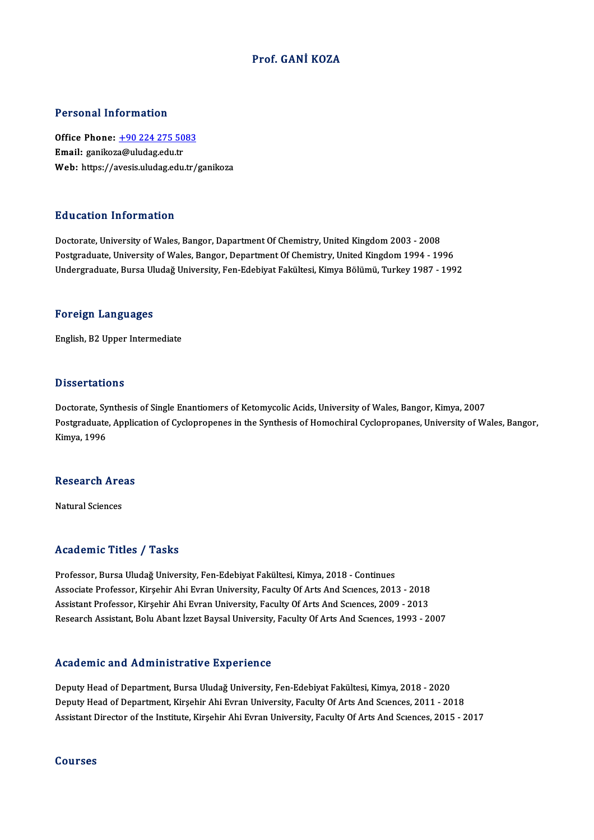### Prof. GANİ KOZA

### Personal Information

Personal Information<br>Office Phone: <u>+90 224 275 5083</u><br>Email: sanikara@uludas.cdu.tr 1 STOOM THISTMACH<br>Office Phone: <u>+90 224 275 50</u><br>Email: ganikoz[a@uludag.edu.tr](tel:+90 224 275 5083) Email: ganikoza@uludag.edu.tr<br>Web: https://avesis.uludag.edu.tr/ganikoza

#### Education Information

Doctorate, University of Wales, Bangor, Dapartment Of Chemistry, United Kingdom 2003 - 2008 Postgraduate, University of Wales, Bangor, Department Of Chemistry, United Kingdom 1994 - 1996 Undergraduate, Bursa Uludağ University, Fen-Edebiyat Fakültesi, Kimya Bölümü, Turkey 1987 - 1992

#### Foreign Languages

English,B2Upper Intermediate

#### **Dissertations**

**Dissertations<br>Doctorate, Synthesis of Single Enantiomers of Ketomycolic Acids, University of Wales, Bangor, Kimya, 2007<br>Bostanaduate, Application of Cyclopropones in the Synthesis of Homochirel Cyclopropones, University o** Postgraduate, Application of Cyclopropenes in the Synthesis of Homochiral Cyclopropanes, University of Wales, Bangor,<br>Kimya, 1996 Doctorate, Sy<br>Postgraduate<br>Kimya, 1996

## Rimya, 1996<br>Research Areas <mark>Research Are</mark><br>Natural Sciences

## Natural Sciences<br>Academic Titles / Tasks

Professor, Bursa Uludağ University, Fen-Edebiyat Fakültesi, Kimya, 2018 - Continues Associate Articus / Adolis<br>Professor, Bursa Uludağ University, Fen-Edebiyat Fakültesi, Kimya, 2018 - Continues<br>Associate Professor, Kirşehir Ahi Evran University, Faculty Of Arts And Sciences, 2009 -2018<br>Assistant Brofesso Professor, Bursa Uludağ University, Fen-Edebiyat Fakültesi, Kimya, 2018 - Continues<br>Associate Professor, Kirşehir Ahi Evran University, Faculty Of Arts And Sciences, 2013 - 2018<br>Assistant Professor, Kirşehir Ahi Evran Univ Associate Professor, Kirşehir Ahi Evran University, Faculty Of Arts And Scıences, 2013 - 2018<br>Assistant Professor, Kirşehir Ahi Evran University, Faculty Of Arts And Scıences, 2009 - 2013<br>Research Assistant, Bolu Abant İzz Research Assistant, Bolu Abant İzzet Baysal University, Faculty Of Arts And Sciences, 1993 - 2007<br>Academic and Administrative Experience

Deputy Head of Department, Bursa Uludağ University, Fen-Edebiyat Fakültesi, Kimya, 2018 - 2020 Deputy Head of Department, Kirşehir Ahi Evran University, Faculty Of Arts And Sciences, 2011 - 2018 Assistant Director of the Institute, Kirşehir Ahi Evran University, Faculty Of Arts And Sciences, 2015 - 2017

#### Courses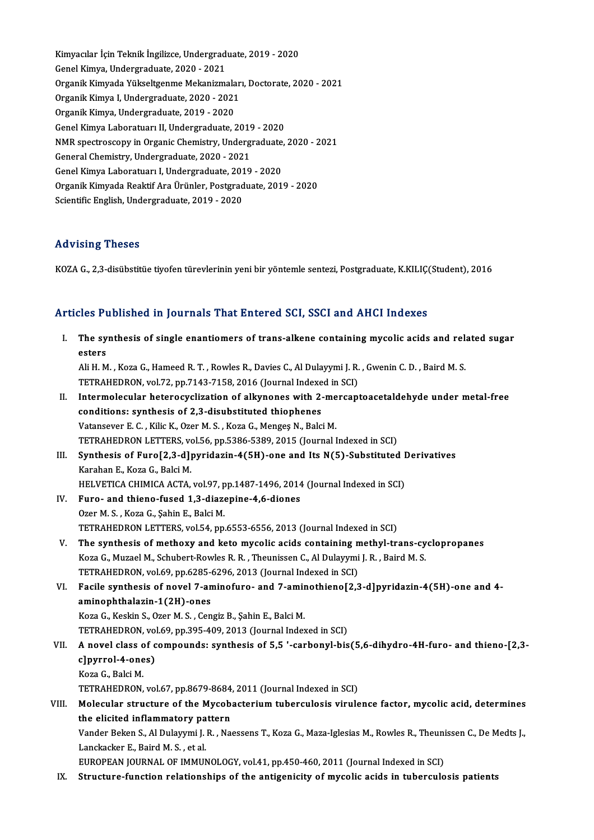Kimyacılar İçin Teknik İngilizce, Undergraduate, 2019 - 2020<br>Canel Kimya Undergraduate, 2020, 2021 Kimyacılar İçin Teknik İngilizce, Undergrad<br>Genel Kimya, Undergraduate, 2020 - 2021<br>Organik Kimyade Yükseltsenme Mekanizme Kimyacılar İçin Teknik İngilizce, Undergraduate, 2019 - 2020<br>Genel Kimya, Undergraduate, 2020 - 2021<br>Organik Kimyada Yükseltgenme Mekanizmaları, Doctorate, 2020 - 2021<br>Organik Kimya I. Undergraduate, 2020 - 2021 Genel Kimya, Undergraduate, 2020 - 2021<br>Organik Kimyada Yükseltgenme Mekanizmalar<br>Organik Kimya I, Undergraduate, 2020 - 2021<br>Organik Kimya, Undergraduate, 2019, -2020 Organik Kimya I, Undergraduate, 2020 - 2021<br>Organik Kimya, Undergraduate, 2019 - 2020 Organik Kimya I, Undergraduate, 2020 - 2021<br>Organik Kimya, Undergraduate, 2019 - 2020<br>Genel Kimya Laboratuarı II, Undergraduate, 2019 - 2020<br>NMB spectresseny in Organis Chemistry, Undergraduate Organik Kimya, Undergraduate, 2019 - 2020<br>Genel Kimya Laboratuarı II, Undergraduate, 2019 - 2020<br>NMR spectroscopy in Organic Chemistry, Undergraduate, 2020 - 2021<br>Coneral Chemistry, Undergraduate, 2020, 2021 Genel Kimya Laboratuarı II, Undergraduate, 2019<br>NMR spectroscopy in Organic Chemistry, Underg<br>General Chemistry, Undergraduate, 2020 - 2021<br>Canal Kimya Laboratuaru LUndergraduate, 2019 NMR spectroscopy in Organic Chemistry, Undergraduate,<br>General Chemistry, Undergraduate, 2020 - 2021<br>Genel Kimya Laboratuarı I, Undergraduate, 2019 - 2020<br>Organik Kimyada Boaktif Ara Ürünler, Bostsraduate, 2011 General Chemistry, Undergraduate, 2020 - 2021<br>Genel Kimya Laboratuarı I, Undergraduate, 2019 - 2020<br>Organik Kimyada Reaktif Ara Ürünler, Postgraduate, 2019 - 2020 Scientific English, Undergraduate, 2019 - 2020

## Advising Theses

KOZA G., 2,3-disübstitüe tiyofen türevlerinin yeni bir yöntemle sentezi, Postgraduate, K.KILIÇ(Student), 2016

# koza G., 2,5-alsubsutue tiyoten turevierinin yeni bir yöntemie sentezi, Postgraduate, k.k.i.l.t.<br>Articles Published in Journals That Entered SCI, SSCI and AHCI Indexes

| Articles Published in Journals That Entered SCI, SSCI and AHCI Indexes |                                                                                                                    |
|------------------------------------------------------------------------|--------------------------------------------------------------------------------------------------------------------|
| I.                                                                     | The synthesis of single enantiomers of trans-alkene containing mycolic acids and related sugar<br>esters           |
|                                                                        | Ali H. M., Koza G., Hameed R. T., Rowles R., Davies C., Al Dulayymi J. R., Gwenin C. D., Baird M. S.               |
|                                                                        | TETRAHEDRON, vol.72, pp.7143-7158, 2016 (Journal Indexed in SCI)                                                   |
| Н.                                                                     | Intermolecular heterocyclization of alkynones with 2-mercaptoacetaldehyde under metal-free                         |
|                                                                        | conditions: synthesis of 2,3-disubstituted thiophenes                                                              |
|                                                                        | Vatansever E. C., Kilic K., Ozer M. S., Koza G., Menges N., Balci M.                                               |
|                                                                        | TETRAHEDRON LETTERS, vol.56, pp.5386-5389, 2015 (Journal Indexed in SCI)                                           |
| III.                                                                   | Synthesis of Furo[2,3-d]pyridazin-4(5H)-one and Its N(5)-Substituted Derivatives                                   |
|                                                                        | Karahan E., Koza G., Balci M.                                                                                      |
|                                                                        | HELVETICA CHIMICA ACTA, vol.97, pp.1487-1496, 2014 (Journal Indexed in SCI)                                        |
| IV.                                                                    | Furo- and thieno-fused 1,3-diazepine-4,6-diones                                                                    |
|                                                                        | Ozer M. S., Koza G., Şahin E., Balci M.                                                                            |
|                                                                        | TETRAHEDRON LETTERS, vol.54, pp.6553-6556, 2013 (Journal Indexed in SCI)                                           |
| V.                                                                     | The synthesis of methoxy and keto mycolic acids containing methyl-trans-cyclopropanes                              |
|                                                                        | Koza G., Muzael M., Schubert-Rowles R. R., Theunissen C., Al Dulayymi J. R., Baird M. S.                           |
|                                                                        | TETRAHEDRON, vol.69, pp.6285-6296, 2013 (Journal Indexed in SCI)                                                   |
| VI.                                                                    | Facile synthesis of novel 7-aminofuro- and 7-aminothieno[2,3-d]pyridazin-4(5H)-one and 4-                          |
|                                                                        | aminophthalazin-1(2H)-ones                                                                                         |
|                                                                        | Koza G., Keskin S., Ozer M. S., Cengiz B., Şahin E., Balci M.                                                      |
|                                                                        | TETRAHEDRON, vol.69, pp.395-409, 2013 (Journal Indexed in SCI)                                                     |
| VII.                                                                   | A novel class of compounds: synthesis of 5,5 '-carbonyl-bis(5,6-dihydro-4H-furo- and thieno-[2,3-                  |
|                                                                        | c]pyrrol-4-ones)                                                                                                   |
|                                                                        | Koza G., Balci M.                                                                                                  |
|                                                                        | TETRAHEDRON, vol.67, pp.8679-8684, 2011 (Journal Indexed in SCI)                                                   |
| VIII.                                                                  | Molecular structure of the Mycobacterium tuberculosis virulence factor, mycolic acid, determines                   |
|                                                                        | the elicited inflammatory pattern                                                                                  |
|                                                                        | Vander Beken S., Al Dulayymi J. R., Naessens T., Koza G., Maza-Iglesias M., Rowles R., Theunissen C., De Medts J., |
|                                                                        | Lanckacker E, Baird M. S., et al.                                                                                  |
|                                                                        | EUROPEAN JOURNAL OF IMMUNOLOGY, vol.41, pp.450-460, 2011 (Journal Indexed in SCI)                                  |
| IX.                                                                    | Structure-function relationships of the antigenicity of mycolic acids in tuberculosis patients                     |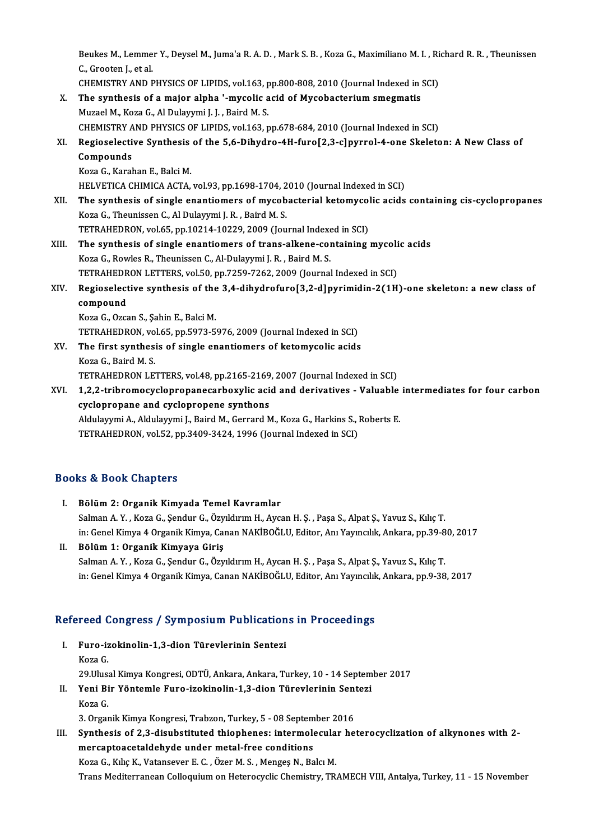Beukes M., Lemmer Y., Deysel M., Juma'a R. A. D. , Mark S. B. , Koza G., Maximiliano M. I. , Richard R. R. , Theunissen<br>S. Sposten Letal Beukes M., Lemme<br>C., Grooten J., et al.<br>CHEMISTRY AND E Beukes M., Lemmer Y., Deysel M., Juma'a R. A. D. , Mark S. B. , Koza G., Maximiliano M. I. , Ri<br>C., Grooten J., et al.<br>CHEMISTRY AND PHYSICS OF LIPIDS, vol.163, pp.800-808, 2010 (Journal Indexed in SCI)<br>The sunthesis of a

|       | C., Grooten J., et al.                                                                                                                    |
|-------|-------------------------------------------------------------------------------------------------------------------------------------------|
|       | CHEMISTRY AND PHYSICS OF LIPIDS, vol.163, pp.800-808, 2010 (Journal Indexed in SCI)                                                       |
| X.    | The synthesis of a major alpha '-mycolic acid of Mycobacterium smegmatis                                                                  |
|       | Muzael M., Koza G., Al Dulayymi J. J., Baird M. S.                                                                                        |
|       | CHEMISTRY AND PHYSICS OF LIPIDS, vol.163, pp.678-684, 2010 (Journal Indexed in SCI)                                                       |
| XI.   | Regioselective Synthesis of the 5,6-Dihydro-4H-furo[2,3-c]pyrrol-4-one Skeleton: A New Class of                                           |
|       | Compounds                                                                                                                                 |
|       | Koza G., Karahan E., Balci M.                                                                                                             |
|       | HELVETICA CHIMICA ACTA, vol.93, pp.1698-1704, 2010 (Journal Indexed in SCI)                                                               |
| XII.  | The synthesis of single enantiomers of mycobacterial ketomycolic acids containing cis-cyclopropanes                                       |
|       | Koza G., Theunissen C., Al Dulayymi J. R., Baird M. S.                                                                                    |
|       | TETRAHEDRON, vol.65, pp.10214-10229, 2009 (Journal Indexed in SCI)                                                                        |
| XIII. | The synthesis of single enantiomers of trans-alkene-containing mycolic acids                                                              |
|       | Koza G., Rowles R., Theunissen C., Al-Dulayymi J. R., Baird M. S.                                                                         |
|       | TETRAHEDRON LETTERS, vol.50, pp.7259-7262, 2009 (Journal Indexed in SCI)                                                                  |
| XIV.  | Regioselective synthesis of the 3,4-dihydrofuro[3,2-d]pyrimidin-2(1H)-one skeleton: a new class of                                        |
|       | compound                                                                                                                                  |
|       | Koza G., Ozcan S., Şahin E., Balci M.                                                                                                     |
|       | TETRAHEDRON, vol.65, pp.5973-5976, 2009 (Journal Indexed in SCI)                                                                          |
| XV.   | The first synthesis of single enantiomers of ketomycolic acids                                                                            |
|       | Koza G., Baird M. S.                                                                                                                      |
|       | TETRAHEDRON LETTERS, vol.48, pp.2165-2169, 2007 (Journal Indexed in SCI)                                                                  |
| XVI.  | 1,2,2-tribromocyclopropanecarboxylic acid and derivatives - Valuable intermediates for four carbon                                        |
|       | cyclopropane and cyclopropene synthons                                                                                                    |
|       | Aldulayymi A., Aldulayymi J., Baird M., Gerrard M., Koza G., Harkins S., Roberts E.                                                       |
|       | $\pi$ <sub>r</sub> a life of $\alpha$ is $\alpha$ in $\alpha$ and $\alpha$ and $\alpha$ and $\alpha$ and $\alpha$ is $\alpha$ in $\alpha$ |

cyclopropane and cyclopropene synthons<br>Aldulayymi A., Aldulayymi J., Baird M., Gerrard M., Koza G., Harkins S., I<br>TETRAHEDRON, vol.52, pp.3409-3424, 1996 (Journal Indexed in SCI) TETRAHEDRON, vol.52, pp.3409-3424, 1996 (Journal Indexed in SCI)<br>Books & Book Chapters

- I. Bölüm2: Organik Kimyada Temel Kavramlar Salman A.Y., Koza G., Şendur G., Özyıldırım H., Aycan H. Ş., Paşa S., Alpat Ş., Yavuz S., Kılıç T. in:GenelKimya 4OrganikKimya,CananNAKİBOĞLU,Editor,AnıYayıncılık,Ankara,pp.39-80,2017
- II. Bölüm 1: Organik Kimyaya Giriş in: Genel Kimya 4 Organik Kimya, Canan NAKİBOĞLU, Editor, Anı Yayıncılık, Ankara, pp.39-8<br>Bölüm 1: Organik Kimyaya Giriş<br>Salman A. Y. , Koza G., Şendur G., Özyıldırım H., Aycan H. Ş. , Paşa S., Alpat Ş., Yavuz S., Kılıç T. Bölüm 1: Organik Kimyaya Giriş<br>Salman A. Y. , Koza G., Şendur G., Özyıldırım H., Aycan H. Ş. , Paşa S., Alpat Ş., Yavuz S., Kılıç T.<br>in: Genel Kimya 4 Organik Kimya, Canan NAKİBOĞLU, Editor, Anı Yayıncılık, Ankara, pp.9-38

# m: GenerKimya 4 Organik Kimya, Canan NAKiBOGLO, Editor, Ani Yayincink<br>Refereed Congress / Symposium Publications in Proceedings

- efereed Congress / Symposium Publication<br>I. Furo-izokinolin-1,3-dion Türevlerinin Sentezi I. Furo-izokinolin-1,3-dion Türevlerinin Sentezi<br>Koza G. Furo-izokinolin-1,3-dion Türevlerinin Sentezi<br>Koza G.<br>29.Ulusal Kimya Kongresi, ODTÜ, Ankara, Ankara, Turkey, 10 - 14 September 2017<br>Yoni Bir Yöntemle Eure, irokinolin 1 3 dien Türevlerinin Senteri Koza G.<br>29.Ulusal Kimya Kongresi, ODTÜ, Ankara, Ankara, Turkey, 10 - 14 Septem<br>II. Yeni Bir Yöntemle Furo-izokinolin-1,3-dion Türevlerinin Sentezi<br>Koza C
- 29.Ulusa<br>Yeni Bi<br>Koza G. Yeni Bir Yöntemle Furo-izokinolin-1,3-dion Türevlerinin Sent<br>Koza G.<br>3. Organik Kimya Kongresi, Trabzon, Turkey, 5 - 08 September 2016<br>Synthesia of 2.2. disubstituted thiophones: intermelesular be

I I. Soza G.<br>1. Synthesis of 2,3-disubstituted thiophenes: intermolecular heterocyclization of alkynones with 2-<br>1. Synthesis of 2,3-disubstituted thiophenes: intermolecular heterocyclization of alkynones with 2mercaptoacetaldehyde under metal-free conditions KozaG.,KılıçK.,Vatansever E.C. ,ÖzerM.S. ,MengeşN.,BalcıM. Trans Mediterranean Colloquium on Heterocyclic Chemistry, TRAMECH VIII, Antalya, Turkey, 11 - 15 November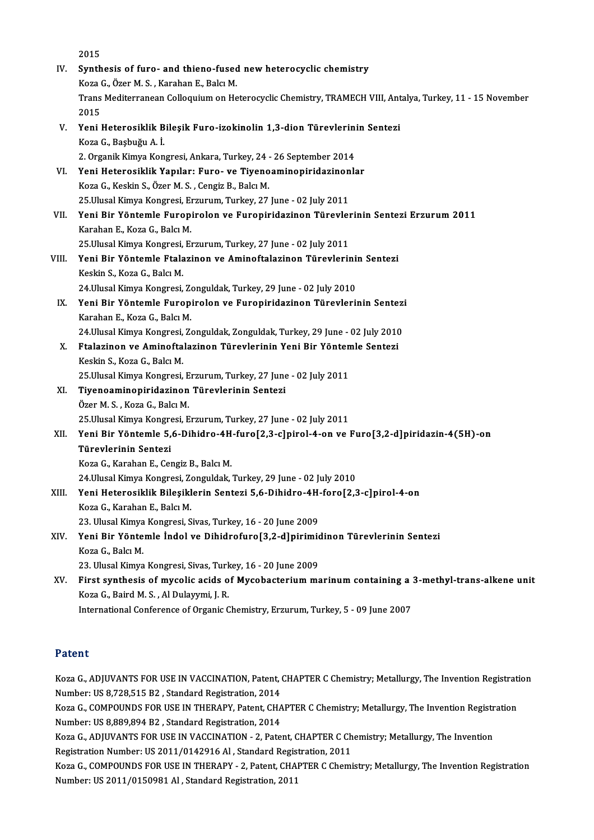2015 IV. Synthesis of furo- and thieno-fused newheterocyclic chemistry 2015<br>Synthesis of furo- and thieno-fused<br>Koza G., Özer M. S. , Karahan E., Balcı M.<br>Trans Mediterranean Cellequium en He Trans Mediterranean Colloquium on Heterocyclic Chemistry, TRAMECH VIII, Antalya, Turkey, 11 - 15 November 2015 Koza (<br>Trans<br>2015<br>Yoni l Trans Mediterranean Colloquium on Heterocyclic Chemistry, TRAMECH VIII, Ant<br>2015<br>V. Yeni Heterosiklik Bileşik Furo-izokinolin 1,3-dion Türevlerinin Sentezi<br>Kora C. Bashuğu A. İ Koza G., Başbuğu A. İ.<br>2. Organik Kimya Kongresi, Ankara, Turkey, 24 - 26 September 2014 Yeni Heterosiklik Bileşik Furo-izokinolin 1,3-dion Türevlerini<br>Koza G., Başbuğu A. İ.<br>2. Organik Kimya Kongresi, Ankara, Turkey, 24 - 26 September 2014<br>Yeni Heterosiklik Yanıları Euro, ve Tiveneamineniridezinenk Koza G., Başbuğu A. İ.<br>2. Organik Kimya Kongresi, Ankara, Turkey, 24 - 26 September 2014<br>VI. Yeni Heterosiklik Yapılar: Furo- ve Tiyenoaminopiridazinonlar<br>Koza G. Koskin S. Özer M. S. Gengiz B. Bakı M KozaG.,KeskinS.,ÖzerM.S. ,CengizB.,BalcıM. Yeni Heterosiklik Yapılar: Furo- ve Tiyenoaminopiridazinon<br>Koza G., Keskin S., Özer M. S. , Cengiz B., Balcı M.<br>25.Ulusal Kimya Kongresi, Erzurum, Turkey, 27 June - 02 July 2011<br>Yoni Bir Yöntemle Europirolan ve Europiridaz VII. Yeni Bir Yöntemle Furopirolon ve Furopiridazinon Türevlerinin Sentezi Erzurum 2011<br>Karahan E., Koza G., Balcı M. 25 Ulusal Kimya Kongresi, Erzurum, Turkey, 27 June - 02 July 2011 Yeni Bir Yöntemle Furopirolon ve Furopiridazinon Türevleı<br>Karahan E., Koza G., Balcı M.<br>25.Ulusal Kimya Kongresi, Erzurum, Turkey, 27 June - 02 July 2011<br>Yoni Bir Yöntemle Eteleginen ve Aminefteleginen Türevleri: Karahan E., Koza G., Balcı M.<br>25.Ulusal Kimya Kongresi, Erzurum, Turkey, 27 June - 02 July 2011<br>VIII. Yeni Bir Yöntemle Ftalazinon ve Aminoftalazinon Türevlerinin Sentezi<br><sup>Vooltin S.</sup> Koza G. Bala M. 25.Ulusal Kimya Kongresi,<br>Yeni Bir Yöntemle Ftala<br>Keskin S., Koza G., Balcı M.<br>24 Ulusal Kimya Kongresi Yeni Bir Yöntemle Ftalazinon ve Aminoftalazinon Türevlerini:<br>Keskin S., Koza G., Balcı M.<br>24.Ulusal Kimya Kongresi, Zonguldak, Turkey, 29 June - 02 July 2010<br>Yoni Bir Yöntemle Euroninalen ve Euroninidaginen Türevleni: Keskin S., Koza G., Balcı M.<br>24.Ulusal Kimya Kongresi, Zonguldak, Turkey, 29 June - 02 July 2010<br>IX. Yeni Bir Yöntemle Furopirolon ve Furopiridazinon Türevlerinin Sentezi<br>Karahan E., Koza G., Balcı M. 24. Ulusal Kimya Kongresi, Zonguldak, Turkey, 29 June - 02 July 2010 Yeni Bir Yöntemle Furopirolon ve Furopiridazinon Türevlerinin Sentez:<br>Karahan E., Koza G., Balcı M.<br>24.Ulusal Kimya Kongresi, Zonguldak, Zonguldak, Turkey, 29 June - 02 July 2010<br>Etalarinan ve Amineftalarinan Türevlerinin Karahan E., Koza G., Balcı M.<br>24.Ulusal Kimya Kongresi, Zonguldak, Zonguldak, Turkey, 29 June - 02 July 2010<br>X. Ftalazinon ve Aminoftalazinon Türevlerinin Yeni Bir Yöntemle Sentezi<br>Koskin S. Koza G. Balcı M 24.Ulusal Kimya Kongresi,<br>Ftalazinon ve Aminofta<br>Keskin S., Koza G., Balcı M.<br>25 Ulusal Kimya Kongresi Ftalazinon ve Aminoftalazinon Türevlerinin Yeni Bir Yönten<br>Keskin S., Koza G., Balcı M.<br>25.Ulusal Kimya Kongresi, Erzurum, Turkey, 27 June - 02 July 2011<br>Tiveneamineniridaginen Türevlerinin Senteri Keskin S., Koza G., Balcı M.<br>25.Ulusal Kimya Kongresi, Erzurum, Turkey, 27 June<br>XI. Tiyenoaminopiridazinon Türevlerinin Sentezi<br>Özer M. S. , Koza G., Balcı M. 25.Ulusal Kimya Kongresi, E<br><mark>Tiyenoaminopiridazinon</mark><br>Özer M. S. , Koza G., Balcı M.<br>25 Ulusal Kimya Kongresi, E 25.UlusalKimyaKongresi,Erzurum,Turkey,27 June -02 July2011 Özer M. S. , Koza G., Balcı M.<br>25.Ulusal Kimya Kongresi, Erzurum, Turkey, 27 June - 02 July 2011<br>XII. Yeni Bir Yöntemle 5,6-Dihidro-4H-furo[2,3-c]pirol-4-on ve Furo[3,2-d]piridazin-4(5H)-on<br>Tüneylerinin Senteri 25.Ulusal Kimya Kongre<br>Yeni Bir Yöntemle 5,<br>Türevlerinin Sentezi Yeni Bir Yöntemle 5,6-Dihidro-4H<br>Türevlerinin Sentezi<br>Koza G., Karahan E., Cengiz B., Balcı M.<br>24 Ulusal Kimus Kongresi Zonguldak. Türevlerinin Sentezi<br>Koza G., Karahan E., Cengiz B., Balcı M.<br>24.Ulusal Kimya Kongresi, Zonguldak, Turkey, 29 June - 02 July 2010<br>Yoni Hetonosiklik Bilesiklerin Senteri E.6 Dibidre. 4H fore[2.3 Koza G., Karahan E., Cengiz B., Balcı M.<br>24.Ulusal Kimya Kongresi, Zonguldak, Turkey, 29 June - 02 July 2010<br>XIII. Yeni Heterosiklik Bileşiklerin Sentezi 5,6-Dihidro-4H-foro[2,3-c]pirol-4-on<br>Koza G., Karahan E., Balcı M. 24.Ulusal Kimya Kongresi, Zo<br>Yeni Heterosiklik Bileşikl<br>Koza G., Karahan E., Balcı M.<br>22. Ulusal Kimya Kongresi, S Yeni Heterosiklik Bileşiklerin Sentezi 5,6-Dihidro-4H<br>Koza G., Karahan E., Balcı M.<br>23. Ulusal Kimya Kongresi, Sivas, Turkey, 16 - 20 June 2009<br>Yeni Bir Yöntemle İndel ve Dihidrofure[3.2. dlninimi: Koza G., Karahan E., Balcı M.<br>23. Ulusal Kimya Kongresi, Sivas, Turkey, 16 - 20 June 2009<br>XIV. Yeni Bir Yöntemle İndol ve Dihidrofuro[3,2-d]pirimidinon Türevlerinin Sentezi 23. Ulusal Kimya<br>Yeni Bir Yönte<br>Koza G., Balcı M.<br>22. Ulusal Kimya Yeni Bir Yöntemle İndol ve Dihidrofuro[3,2-d]pirimid<br>Koza G., Balcı M.<br>23. Ulusal Kimya Kongresi, Sivas, Turkey, 16 - 20 June 2009<br>Finst sunthesis of muselis asids of Musebasterium ms Koza G., Balcı M.<br>23. Ulusal Kimya Kongresi, Sivas, Turkey, 16 - 20 June 2009<br>XV. First synthesis of mycolic acids of Mycobacterium marinum containing a 3-methyl-trans-alkene unit<br>Koza C. Baird M. S. Al Dularumi J. B. 23. Ulusal Kimya Kongresi, Sivas, Turkey, 16 - 20 June 2009<br>First synthesis of mycolic acids of Mycobacterium marinum containing a<br>Koza G., Baird M. S., Al Dulayymi, J. R.<br>International Conference of Organic Chemistry, Erz First synthesis of mycolic acids of Mycobacterium marinum containing a :<br>Koza G., Baird M. S. , Al Dulayymi, J. R.<br>International Conference of Organic Chemistry, Erzurum, Turkey, 5 - 09 June 2007

## Patent

Patent<br>Koza G., ADJUVANTS FOR USE IN VACCINATION, Patent, CHAPTER C Chemistry; Metallurgy, The Invention Registration<br>Number: US 8 728 515 P2, Standard Begistration, 2014 r acene<br>Koza G., ADJUVANTS FOR USE IN VACCINATION, Patent, (<br>Number: US 8,728,515 B2 , Standard Registration, 2014<br>Koza G., COMPOUNDS FOR USE IN THERARY Retent, CHA Koza G., ADJUVANTS FOR USE IN VACCINATION, Patent, CHAPTER C Chemistry; Metallurgy, The Invention Registration<br>Number: US 8,728,515 B2 , Standard Registration, 2014<br>Koza G., COMPOUNDS FOR USE IN THERAPY, Patent, CHAPTER C

Number: US 8,728,515 B2 , Standard Registration, 2014<br>Koza G., COMPOUNDS FOR USE IN THERAPY, Patent, CHA<br>Number: US 8,889,894 B2 , Standard Registration, 2014<br>Kora G. ADUIVANTS FOR USE IN VACCINATION, 2, Pate Koza G., COMPOUNDS FOR USE IN THERAPY, Patent, CHAPTER C Chemistry; Metallurgy, The Invention Registr<br>Number: US 8,889,894 B2 , Standard Registration, 2014<br>Koza G., ADJUVANTS FOR USE IN VACCINATION - 2, Patent, CHAPTER C C

Number: US 8,889,894 B2 , Standard Registration, 2014<br>Koza G., ADJUVANTS FOR USE IN VACCINATION - 2, Patent, CHAPTER C Ch<br>Registration Number: US 2011/0142916 Al , Standard Registration, 2011<br>Kore G. COMPOUNDS FOR USE IN T Koza G., ADJUVANTS FOR USE IN VACCINATION - 2, Patent, CHAPTER C Chemistry; Metallurgy, The Invention<br>Registration Number: US 2011/0142916 Al , Standard Registration, 2011<br>Koza G., COMPOUNDS FOR USE IN THERAPY - 2, Patent,

Registration Number: US 2011/0142916 Al , Standard Regis<br>Koza G., COMPOUNDS FOR USE IN THERAPY - 2, Patent, CHAl<br>Number: US 2011/0150981 Al , Standard Registration, 2011